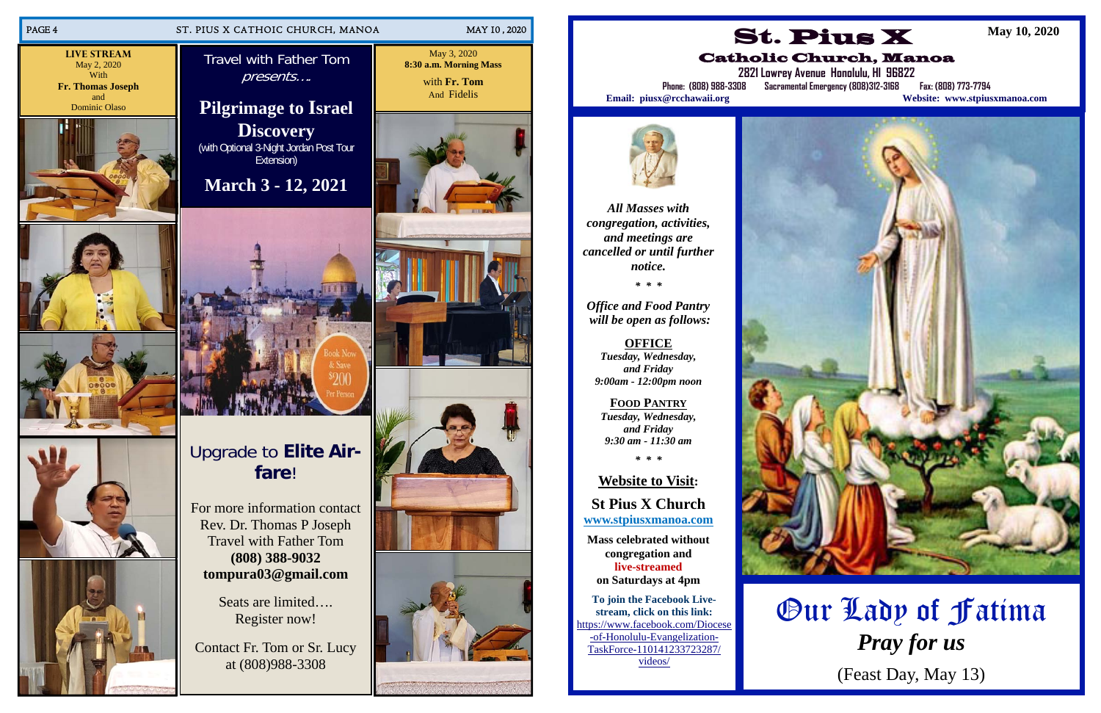# Upgrade to **Elite Airfare**!

For more information contact Rev. Dr. Thomas P Joseph Travel with Father Tom **(808) 388-9032 tompura03@gmail.com** 



Seats are limited…. Register now!

Contact Fr. Tom or Sr. Lucy at (808)988-3308



**Live Stream** May 2, 2020 With **Fr. Thomas Joseph**  and











May 3, 2020 **8:30 a.m. Morning Mass**  with **Fr. Tom** And Fidelis









*All Masses with congregation, activities, and meetings are cancelled or until further notice.* 

*\* \* \** 

*Office and Food Pantry will be open as follows:* 

**OFFICE**  *Tuesday, Wednesday, and Friday 9:00am - 12:00pm noon* 

**FOOD PANTRY***Tuesday, Wednesday, and Friday 9:30 am - 11:30 am* 

*\* \* \** 

# **Website to Visit:**

**St Pius X Church www.stpiusxmanoa.com** 

**Mass celebrated without congregation and live-streamed on Saturdays at 4pm** 

**To join the Facebook Livestream, click on this link:**  https://www.facebook.com/Diocese -of-Honolulu-Evangelization-TaskForce-110141233723287/ videos/





# Catholic Church, Manoa



**2821 Lowrey Avenue Honolulu, HI 96822** 

**Phone: (808) 988-3308 Sacramental Emergency (808)312-3168 Fax: (808) 773-7794 Email: piusx@rcchawaii.org Website: www.stpiusxmanoa.com**

**May 10, 2020** 

# Our Lady of Fatima *Pray for us*

(Feast Day, May 13)